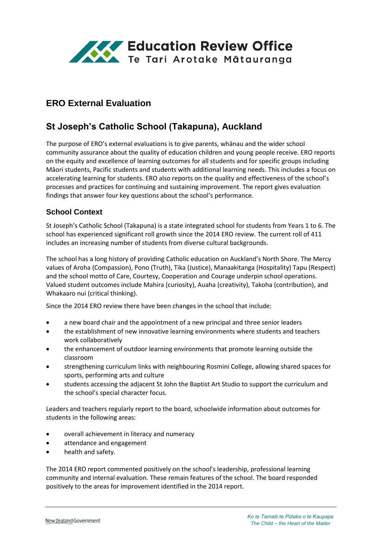

# **ERO External Evaluation**

# **St Joseph's Catholic School (Takapuna), Auckland**

The purpose of ERO's external evaluations is to give parents, whānau and the wider school community assurance about the quality of education children and young people receive. ERO reports on the equity and excellence of learning outcomes for all students and for specific groups including Māori students, Pacific students and students with additional learning needs. This includes a focus on accelerating learning for students. ERO also reports on the quality and effectiveness of the school's processes and practices for continuing and sustaining improvement. The report gives evaluation findings that answer four key questions about the school's performance.

### **School Context**

St Joseph's Catholic School (Takapuna) is a state integrated school for students from Years 1 to 6. The school has experienced significant roll growth since the 2014 ERO review. The current roll of 411 includes an increasing number of students from diverse cultural backgrounds.

The school has a long history of providing Catholic education on Auckland's North Shore. The Mercy values of Aroha (Compassion), Pono (Truth), Tika (Justice), Manaakitanga (Hospitality) Tapu (Respect) and the school motto of Care, Courtesy, Cooperation and Courage underpin school operations. Valued student outcomes include Mahira (curiosity), Auaha (creativity), Takoha (contribution), and Whakaaro nui (critical thinking).

Since the 2014 ERO review there have been changes in the school that include:

- a new board chair and the appointment of a new principal and three senior leaders
- the establishment of new innovative learning environments where students and teachers work collaboratively
- the enhancement of outdoor learning environments that promote learning outside the classroom
- strengthening curriculum links with neighbouring Rosmini College, allowing shared spaces for sports, performing arts and culture
- students accessing the adjacent St John the Baptist Art Studio to support the curriculum and the school's special character focus.

Leaders and teachers regularly report to the board, schoolwide information about outcomes for students in the following areas:

- overall achievement in literacy and numeracy
- attendance and engagement
- health and safety.

The 2014 ERO report commented positively on the school's leadership, professional learning community and internal evaluation. These remain features of the school. The board responded positively to the areas for improvement identified in the 2014 report.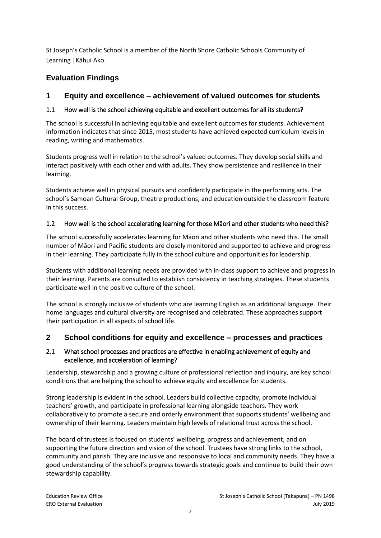St Joseph's Catholic School is a member of the North Shore Catholic Schools Community of Learning |Kāhui Ako.

# **Evaluation Findings**

## **1 Equity and excellence – achievement of valued outcomes for students**

## 1.1 How well is the school achieving equitable and excellent outcomes for all its students?

The school is successful in achieving equitable and excellent outcomes for students. Achievement information indicates that since 2015, most students have achieved expected curriculum levels in reading, writing and mathematics.

Students progress well in relation to the school's valued outcomes. They develop social skills and interact positively with each other and with adults. They show persistence and resilience in their learning.

Students achieve well in physical pursuits and confidently participate in the performing arts. The school's Samoan Cultural Group, theatre productions, and education outside the classroom feature in this success.

## 1.2 How well is the school accelerating learning for those Māori and other students who need this?

The school successfully accelerates learning for Māori and other students who need this. The small number of Māori and Pacific students are closely monitored and supported to achieve and progress in their learning. They participate fully in the school culture and opportunities for leadership.

Students with additional learning needs are provided with in-class support to achieve and progress in their learning. Parents are consulted to establish consistency in teaching strategies. These students participate well in the positive culture of the school.

The school is strongly inclusive of students who are learning English as an additional language. Their home languages and cultural diversity are recognised and celebrated. These approaches support their participation in all aspects of school life.

## **2 School conditions for equity and excellence – processes and practices**

### 2.1 What school processes and practices are effective in enabling achievement of equity and excellence, and acceleration of learning?

Leadership, stewardship and a growing culture of professional reflection and inquiry, are key school conditions that are helping the school to achieve equity and excellence for students.

Strong leadership is evident in the school. Leaders build collective capacity, promote individual teachers' growth, and participate in professional learning alongside teachers. They work collaboratively to promote a secure and orderly environment that supports students' wellbeing and ownership of their learning. Leaders maintain high levels of relational trust across the school.

The board of trustees is focused on students' wellbeing, progress and achievement, and on supporting the future direction and vision of the school. Trustees have strong links to the school, community and parish. They are inclusive and responsive to local and community needs. They have a good understanding of the school's progress towards strategic goals and continue to build their own stewardship capability.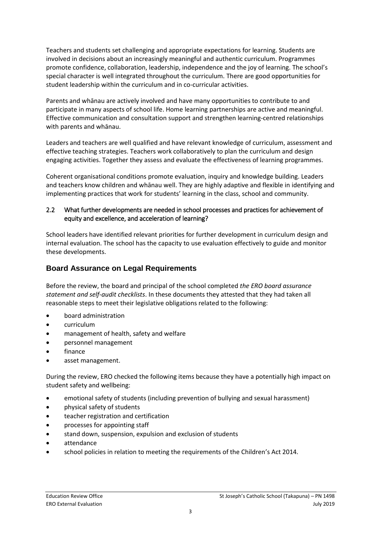Teachers and students set challenging and appropriate expectations for learning. Students are involved in decisions about an increasingly meaningful and authentic curriculum. Programmes promote confidence, collaboration, leadership, independence and the joy of learning. The school's special character is well integrated throughout the curriculum. There are good opportunities for student leadership within the curriculum and in co-curricular activities.

Parents and whānau are actively involved and have many opportunities to contribute to and participate in many aspects of school life. Home learning partnerships are active and meaningful. Effective communication and consultation support and strengthen learning-centred relationships with parents and whānau.

Leaders and teachers are well qualified and have relevant knowledge of curriculum, assessment and effective teaching strategies. Teachers work collaboratively to plan the curriculum and design engaging activities. Together they assess and evaluate the effectiveness of learning programmes.

Coherent organisational conditions promote evaluation, inquiry and knowledge building. Leaders and teachers know children and whānau well. They are highly adaptive and flexible in identifying and implementing practices that work for students' learning in the class, school and community.

#### 2.2 What further developments are needed in school processes and practices for achievement of equity and excellence, and acceleration of learning?

School leaders have identified relevant priorities for further development in curriculum design and internal evaluation. The school has the capacity to use evaluation effectively to guide and monitor these developments.

### **Board Assurance on Legal Requirements**

Before the review, the board and principal of the school completed *the ERO board assurance statement and self-audit checklists*. In these documents they attested that they had taken all reasonable steps to meet their legislative obligations related to the following:

- board administration
- curriculum
- management of health, safety and welfare
- personnel management
- finance
- asset management.

During the review, ERO checked the following items because they have a potentially high impact on student safety and wellbeing:

- emotional safety of students (including prevention of bullying and sexual harassment)
- physical safety of students
- teacher registration and certification
- processes for appointing staff
- stand down, suspension, expulsion and exclusion of students
- attendance
- school policies in relation to meeting the requirements of the Children's Act 2014.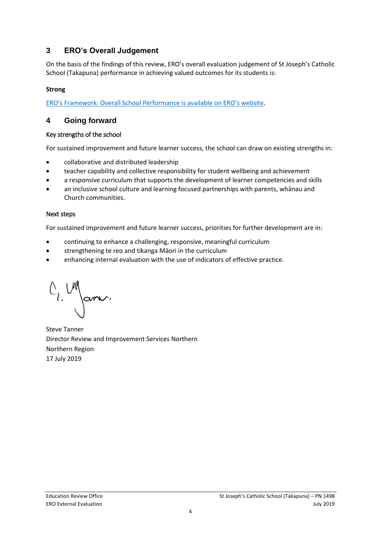## **3 ERO's Overall Judgement**

On the basis of the findings of this review, ERO's overall evaluation judgement of St Joseph's Catholic School (Takapuna) performance in achieving valued outcomes for its students is:

### **Strong**

[ERO's Framework: Overall School Performance is available on ERO's website](https://www.ero.govt.nz/assets/Uploads/Framework-overall-school-performance-Feb-2019.pdf).

### **4 Going forward**

#### Key strengths of the school

For sustained improvement and future learner success, the school can draw on existing strengths in:

- collaborative and distributed leadership
- teacher capability and collective responsibility for student wellbeing and achievement
- a responsive curriculum that supports the development of learner competencies and skills
- an inclusive school culture and learning focused partnerships with parents, whānau and Church communities.

#### Next steps

For sustained improvement and future learner success, priorities for further development are in:

- continuing to enhance a challenging, responsive, meaningful curriculum
- strengthening te reo and tikanga Māori in the curriculum
- enhancing internal evaluation with the use of indicators of effective practice.

C, Mars.

Steve Tanner Director Review and Improvement Services Northern Northern Region 17 July 2019